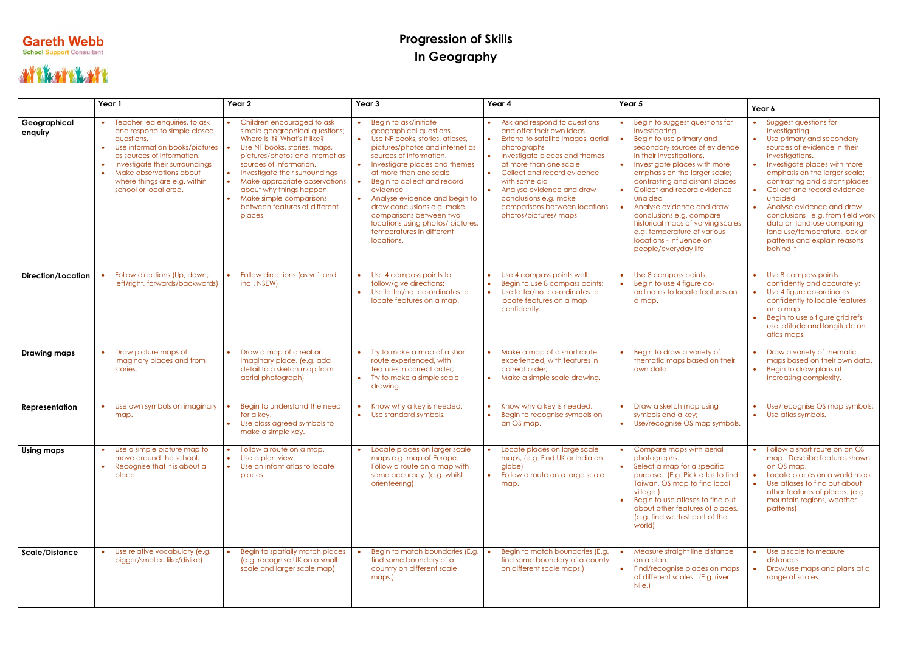## **Gareth Webb**<br>School Support Consultant

## THE MANY TO THE TELL

## **Progression of Skills In Geography**

|                           | Year 1                                                                                                                                                                                                                                                                                      | Year 2                                                                                                                                                                                                                                                                                                                                                             | Year 3                                                                                                                                                                                                                                                                                                                                                                                                                                                                   | Year 4                                                                                                                                                                                                                                                                                                                                             | Year 5                                                                                                                                                                                                                                                                                                                                                                                                                                                                              | Year 6                                                                                                                                                                                                                                                                                                                                                                                                                                                 |
|---------------------------|---------------------------------------------------------------------------------------------------------------------------------------------------------------------------------------------------------------------------------------------------------------------------------------------|--------------------------------------------------------------------------------------------------------------------------------------------------------------------------------------------------------------------------------------------------------------------------------------------------------------------------------------------------------------------|--------------------------------------------------------------------------------------------------------------------------------------------------------------------------------------------------------------------------------------------------------------------------------------------------------------------------------------------------------------------------------------------------------------------------------------------------------------------------|----------------------------------------------------------------------------------------------------------------------------------------------------------------------------------------------------------------------------------------------------------------------------------------------------------------------------------------------------|-------------------------------------------------------------------------------------------------------------------------------------------------------------------------------------------------------------------------------------------------------------------------------------------------------------------------------------------------------------------------------------------------------------------------------------------------------------------------------------|--------------------------------------------------------------------------------------------------------------------------------------------------------------------------------------------------------------------------------------------------------------------------------------------------------------------------------------------------------------------------------------------------------------------------------------------------------|
| Geographical<br>enquiry   | Teacher led enquiries, to ask<br>and respond to simple closed<br>questions.<br>Use information books/pictures<br>$\bullet$<br>as sources of information.<br>Investigate their surroundings<br>$\bullet$<br>Make observations about<br>where things are e.g. within<br>school or local area. | Children encouraged to ask<br>simple geographical questions;<br>Where is it? What's it like?<br>Use NF books, stories, maps,<br>pictures/photos and internet as<br>sources of information.<br>• Investigate their surroundings<br>Make appropriate observations<br>about why things happen.<br>Make simple comparisons<br>between features of different<br>places. | Begin to ask/initiate<br>geographical questions.<br>Use NF books, stories, atlases,<br>$\bullet$<br>pictures/photos and internet as<br>sources of information.<br>Investigate places and themes<br>$\bullet$<br>at more than one scale<br>Begin to collect and record<br>evidence<br>Analyse evidence and begin to<br>$\bullet$<br>draw conclusions e.g. make<br>comparisons between two<br>locations using photos/ pictures,<br>temperatures in different<br>locations. | Ask and respond to questions<br>and offer their own ideas.<br>• Extend to satellite images, aerial<br>photographs<br>• Investigate places and themes<br>at more than one scale<br>• Collect and record evidence<br>with some aid<br>• Analyse evidence and draw<br>conclusions e.g. make<br>comparisons between locations<br>photos/pictures/ maps | Begin to suggest questions for<br>investigating<br>Begin to use primary and<br>secondary sources of evidence<br>in their investigations.<br>Investigate places with more<br>emphasis on the larger scale;<br>contrasting and distant places<br>Collect and record evidence<br>$\bullet$<br>unaided<br>Analyse evidence and draw<br>conclusions e.g. compare<br>historical maps of varying scales<br>e.g. temperature of various<br>locations - influence on<br>people/everyday life | • Suggest questions for<br>investigating<br>• Use primary and secondary<br>sources of evidence in their<br>investigations.<br>Investigate places with more<br>emphasis on the larger scale;<br>contrasting and distant places<br>Collect and record evidence<br>unaided<br>• Analyse evidence and draw<br>conclusions e.g. from field work<br>data on land use comparing<br>land use/temperature, look at<br>patterns and explain reasons<br>behind it |
| <b>Direction/Location</b> | Follow directions (Up, down,<br>left/right, forwards/backwards)                                                                                                                                                                                                                             | Follow directions (as yr 1 and<br>inc'. NSEW)                                                                                                                                                                                                                                                                                                                      | Use 4 compass points to<br>follow/give directions:<br>Use letter/no. co-ordinates to<br>locate features on a map.                                                                                                                                                                                                                                                                                                                                                        | Use 4 compass points well:<br>Begin to use 8 compass points;<br>Use letter/no. co-ordinates to<br>locate features on a map<br>confidently.                                                                                                                                                                                                         | Use 8 compass points;<br>Begin to use 4 figure co-<br>ordinates to locate features on<br>a map.                                                                                                                                                                                                                                                                                                                                                                                     | Use 8 compass points<br>confidently and accurately;<br>Use 4 figure co-ordinates<br>confidently to locate features<br>on a map.<br>Begin to use 6 figure grid refs;<br>use latitude and longitude on<br>atlas maps.                                                                                                                                                                                                                                    |
| <b>Drawing maps</b>       | Draw picture maps of<br>imaginary places and from<br>stories.                                                                                                                                                                                                                               | Draw a map of a real or<br>imaginary place. (e.g. add<br>detail to a sketch map from<br>aerial photograph)                                                                                                                                                                                                                                                         | Try to make a map of a short<br>route experienced, with<br>features in correct order;<br>Try to make a simple scale<br>drawing.                                                                                                                                                                                                                                                                                                                                          | Make a map of a short route<br>experienced, with features in<br>correct order;<br>• Make a simple scale drawing.                                                                                                                                                                                                                                   | Begin to draw a variety of<br>thematic maps based on their<br>own data.                                                                                                                                                                                                                                                                                                                                                                                                             | Draw a variety of thematic<br>maps based on their own data.<br>Begin to draw plans of<br>increasing complexity.                                                                                                                                                                                                                                                                                                                                        |
| Representation            | Use own symbols on imaginary<br>map.                                                                                                                                                                                                                                                        | Begin to understand the need<br>for a key.<br>Use class agreed symbols to<br>make a simple key.                                                                                                                                                                                                                                                                    | Know why a key is needed.<br>Use standard symbols.<br>$\bullet$                                                                                                                                                                                                                                                                                                                                                                                                          | Know why a key is needed.<br>Begin to recognise symbols on<br>$\bullet$<br>an OS map.                                                                                                                                                                                                                                                              | Draw a sketch map using<br>symbols and a key;<br>• Use/recognise OS map symbols.                                                                                                                                                                                                                                                                                                                                                                                                    | Use/recognise OS map symbols;<br>• Use atlas symbols.                                                                                                                                                                                                                                                                                                                                                                                                  |
| <b>Using maps</b>         | • Use a simple picture map to<br>move around the school;<br>Recognise that it is about a<br>$\bullet$<br>place.                                                                                                                                                                             | Follow a route on a map.<br>• Use a plan view.<br>Use an infant atlas to locate<br>$\bullet$<br>places.                                                                                                                                                                                                                                                            | Locate places on larger scale<br>maps e.g. map of Europe.<br>Follow a route on a map with<br>some accuracy. (e.g. whilst<br>orienteering)                                                                                                                                                                                                                                                                                                                                | Locate places on large scale<br>maps, (e.g. Find UK or India on<br>globe)<br>Follow a route on a large scale<br>map.                                                                                                                                                                                                                               | Compare maps with aerial<br>photographs.<br>Select a map for a specific<br>purpose. (E.g. Pick atlas to find<br>Taiwan, OS map to find local<br>village.)<br>Begin to use atlases to find out<br>about other features of places.<br>(e.g. find wettest part of the<br>world)                                                                                                                                                                                                        | Follow a short route on an OS<br>map. Describe features shown<br>on OS map.<br>Locate places on a world map.<br>• Use atlases to find out about<br>other features of places. (e.g.<br>mountain regions, weather<br>patterns)                                                                                                                                                                                                                           |
| <b>Scale/Distance</b>     | Use relative vocabulary (e.g.<br>bigger/smaller, like/dislike)                                                                                                                                                                                                                              | Begin to spatially match places<br>(e.g. recognise UK on a small<br>scale and larger scale map)                                                                                                                                                                                                                                                                    | Begin to match boundaries (E.g.<br>find same boundary of a<br>country on different scale<br>maps.)                                                                                                                                                                                                                                                                                                                                                                       | Begin to match boundaries (E.g.<br>find same boundary of a county<br>on different scale maps.)                                                                                                                                                                                                                                                     | Measure straight line distance<br>on a plan.<br>• Find/recognise places on maps<br>of different scales. (E.g. river<br>Nile.)                                                                                                                                                                                                                                                                                                                                                       | Use a scale to measure<br>distances.<br>Draw/use maps and plans at a<br>range of scales.                                                                                                                                                                                                                                                                                                                                                               |